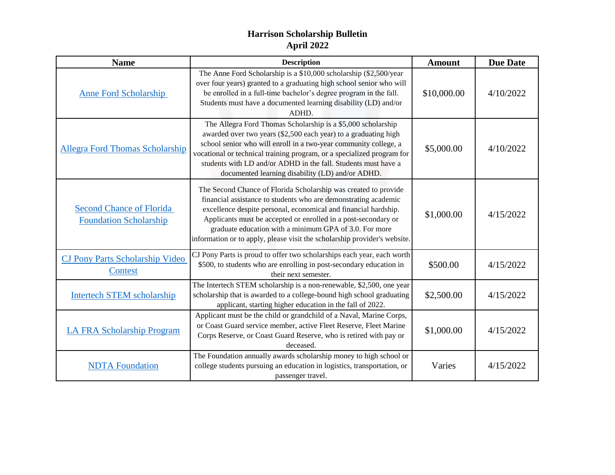## **Harrison Scholarship Bulletin April 2022**

| <b>Name</b>                                                      | <b>Description</b>                                                                                                                                                                                                                                                                                                                                                                                             | <b>Amount</b> | <b>Due Date</b> |
|------------------------------------------------------------------|----------------------------------------------------------------------------------------------------------------------------------------------------------------------------------------------------------------------------------------------------------------------------------------------------------------------------------------------------------------------------------------------------------------|---------------|-----------------|
| <b>Anne Ford Scholarship</b>                                     | The Anne Ford Scholarship is a \$10,000 scholarship (\$2,500/year<br>over four years) granted to a graduating high school senior who will<br>be enrolled in a full-time bachelor's degree program in the fall.<br>Students must have a documented learning disability (LD) and/or<br>ADHD.                                                                                                                     | \$10,000.00   | 4/10/2022       |
| <b>Allegra Ford Thomas Scholarship</b>                           | The Allegra Ford Thomas Scholarship is a \$5,000 scholarship<br>awarded over two years (\$2,500 each year) to a graduating high<br>school senior who will enroll in a two-year community college, a<br>vocational or technical training program, or a specialized program for<br>students with LD and/or ADHD in the fall. Students must have a<br>documented learning disability (LD) and/or ADHD.            | \$5,000.00    | 4/10/2022       |
| <b>Second Chance of Florida</b><br><b>Foundation Scholarship</b> | The Second Chance of Florida Scholarship was created to provide<br>financial assistance to students who are demonstrating academic<br>excellence despite personal, economical and financial hardship.<br>Applicants must be accepted or enrolled in a post-secondary or<br>graduate education with a minimum GPA of 3.0. For more<br>information or to apply, please visit the scholarship provider's website. | \$1,000.00    | 4/15/2022       |
| <b>CJ Pony Parts Scholarship Video</b><br>Contest                | CJ Pony Parts is proud to offer two scholarships each year, each worth<br>\$500, to students who are enrolling in post-secondary education in<br>their next semester.                                                                                                                                                                                                                                          | \$500.00      | 4/15/2022       |
| Intertech STEM scholarship                                       | The Intertech STEM scholarship is a non-renewable, \$2,500, one year<br>scholarship that is awarded to a college-bound high school graduating<br>applicant, starting higher education in the fall of 2022.                                                                                                                                                                                                     | \$2,500.00    | 4/15/2022       |
| <b>LA FRA Scholarship Program</b>                                | Applicant must be the child or grandchild of a Naval, Marine Corps,<br>or Coast Guard service member, active Fleet Reserve, Fleet Marine<br>Corps Reserve, or Coast Guard Reserve, who is retired with pay or<br>deceased.                                                                                                                                                                                     | \$1,000.00    | 4/15/2022       |
| <b>NDTA</b> Foundation                                           | The Foundation annually awards scholarship money to high school or<br>college students pursuing an education in logistics, transportation, or<br>passenger travel.                                                                                                                                                                                                                                             | Varies        | 4/15/2022       |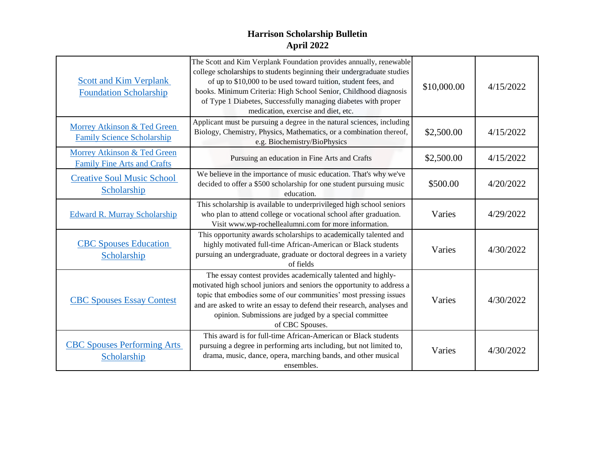## **Harrison Scholarship Bulletin April 2022**

| <b>Scott and Kim Verplank</b><br><b>Foundation Scholarship</b>    | The Scott and Kim Verplank Foundation provides annually, renewable<br>college scholarships to students beginning their undergraduate studies<br>of up to \$10,000 to be used toward tuition, student fees, and<br>books. Minimum Criteria: High School Senior, Childhood diagnosis<br>of Type 1 Diabetes, Successfully managing diabetes with proper<br>medication, exercise and diet, etc. | \$10,000.00 | 4/15/2022 |
|-------------------------------------------------------------------|---------------------------------------------------------------------------------------------------------------------------------------------------------------------------------------------------------------------------------------------------------------------------------------------------------------------------------------------------------------------------------------------|-------------|-----------|
| Morrey Atkinson & Ted Green<br><b>Family Science Scholarship</b>  | Applicant must be pursuing a degree in the natural sciences, including<br>Biology, Chemistry, Physics, Mathematics, or a combination thereof,<br>e.g. Biochemistry/BioPhysics                                                                                                                                                                                                               | \$2,500.00  | 4/15/2022 |
| Morrey Atkinson & Ted Green<br><b>Family Fine Arts and Crafts</b> | Pursuing an education in Fine Arts and Crafts                                                                                                                                                                                                                                                                                                                                               | \$2,500.00  | 4/15/2022 |
| <b>Creative Soul Music School</b><br>Scholarship                  | We believe in the importance of music education. That's why we've<br>decided to offer a \$500 scholarship for one student pursuing music<br>education.                                                                                                                                                                                                                                      | \$500.00    | 4/20/2022 |
| <b>Edward R. Murray Scholarship</b>                               | This scholarship is available to underprivileged high school seniors<br>who plan to attend college or vocational school after graduation.<br>Visit www.wp-rochellealumni.com for more information.                                                                                                                                                                                          | Varies      | 4/29/2022 |
| <b>CBC Spouses Education</b><br>Scholarship                       | This opportunity awards scholarships to academically talented and<br>highly motivated full-time African-American or Black students<br>pursuing an undergraduate, graduate or doctoral degrees in a variety<br>of fields                                                                                                                                                                     | Varies      | 4/30/2022 |
| <b>CBC Spouses Essay Contest</b>                                  | The essay contest provides academically talented and highly-<br>motivated high school juniors and seniors the opportunity to address a<br>topic that embodies some of our communities' most pressing issues<br>and are asked to write an essay to defend their research, analyses and<br>opinion. Submissions are judged by a special committee<br>of CBC Spouses.                          | Varies      | 4/30/2022 |
| <b>CBC Spouses Performing Arts</b><br>Scholarship                 | This award is for full-time African-American or Black students<br>pursuing a degree in performing arts including, but not limited to,<br>drama, music, dance, opera, marching bands, and other musical<br>ensembles.                                                                                                                                                                        | Varies      | 4/30/2022 |